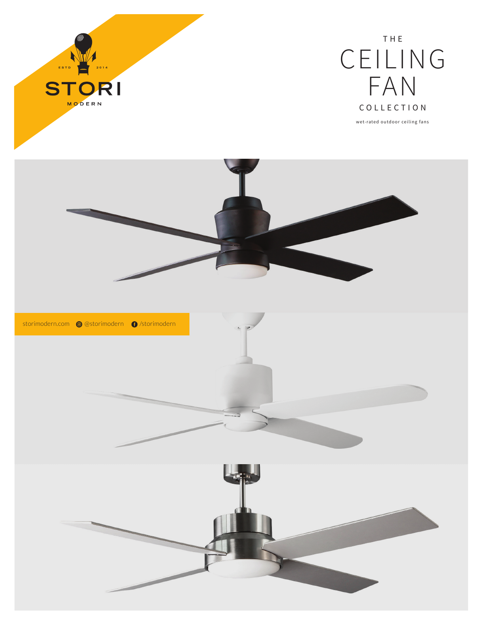